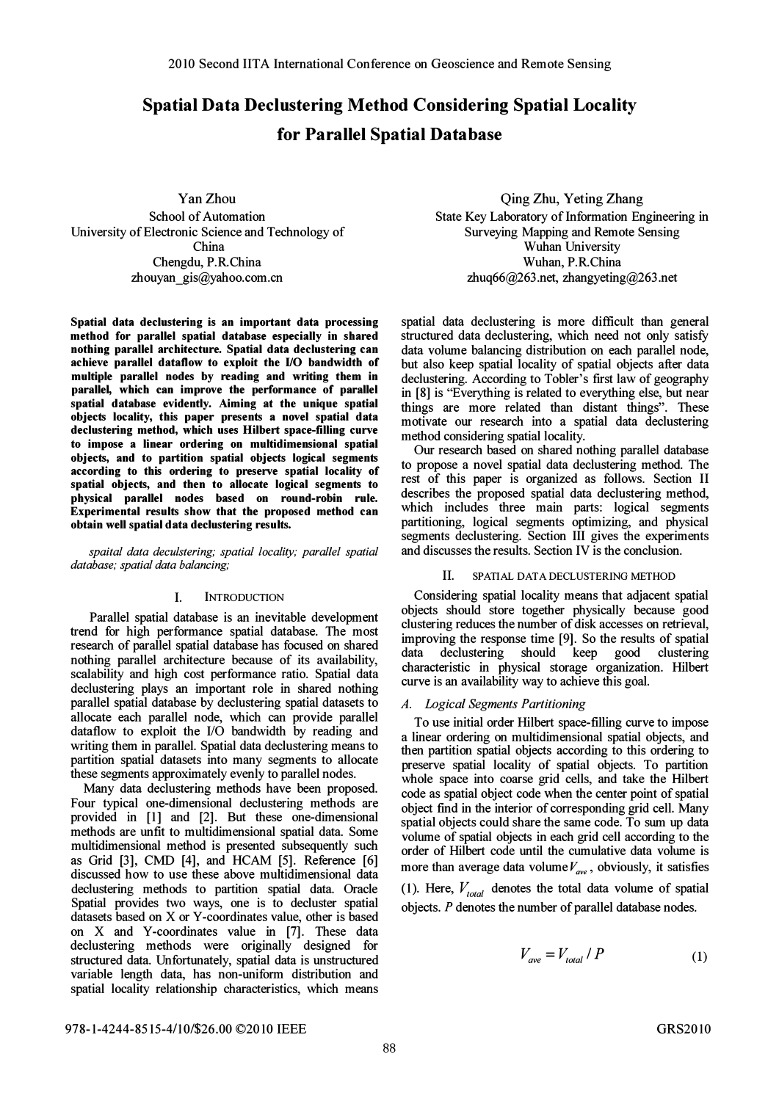# Spatial Data Declustering Method Considering Spatial Locality for Parallel Spatial Database

YanZhou School of Automation University of Electronic Science and Technology of China Chengdu, P.R.China zhouyan \_gis@yahoo.com.cn

Spatial data declustering is an important data processing method for parallel spatial database especially in shared nothing parallel architecture. Spatial data declustering can achieve parallel dataflow to exploit the I/O bandwidth of multiple parallel nodes by reading and writing them in parallel, which can improve the performance of parallel spatial database evidently. Aiming at the unique spatial objects locality, this paper presents a novel spatial data declustering method, which uses Hilbert space-filling curve to impose a linear ordering on multidimensional spatial objects, and to partition spatial objects logical segments according to this ordering to preserve spatial locality of spatial objects, and then to allocate logical segments to physical parallel nodes based on round-robin rule. Experimental results show that the proposed method can obtain well spatial data declustering results.

spaital data deculstering; spatial locality; parallel spatial database; spatial data balancing;

### I. INTRODUCTION

Parallel spatial database is an inevitable development trend for high performance spatial database. The most research of parallel spatial database has focused on shared nothing parallel architecture because of its availability, scalability and high cost performance ratio. Spatial data declustering plays an important role in shared nothing parallel spatial database by declustering spatial datasets to allocate each parallel node, which can provide parallel dataflow to exploit the I/O bandwidth by reading and writing them in parallel. Spatial data declustering means to partition spatial datasets into many segments to allocate these segments approximately evenly to parallel nodes.

Many data declustering methods have been proposed. Four typical one-dimensional declustering methods are provided in [1] and [2]. But these one-dimensional methods are unfit to multidimensional spatial data. Some multidimensional method is presented subsequently such as Grid [3], CMD [4], and HCAM [5]. Reference [6] discussed how to use these above multidimensional data declustering methods to partition spatial data. Oracle Spatial provides two ways, one is to decluster spatial datasets based on X or Y-coordinates value, other is based on X and Y-coordinates value in [7]. These data declustering methods were originally designed for structured data. Unfortunately, spatial data is unstructured variable length data, has non-uniform distribution and spatial locality relationship characteristics, which means

Qing Zhu, Yeting Zhang State Key Laboratory of Information Engineering in Surveying Mapping and Remote Sensing Wuhan University Wuhan, P.R.China zhuq66@263.net, zhangyeting@263.net

spatial data declustering is more difficult than general structured data declustering, which need not only satisfy data volume balancing distribution on each parallel node, but also keep spatial locality of spatial objects after data declustering. According to Tobler's first law of geography in [8] is ''Everything is related to everything else, but near things are more related than distant things". These motivate our research into a spatial data declustering method considering spatial locality.

Our research based on shared nothing parallel database to propose a novel spatial data declustering method. The rest of this paper is organized as follows. Section II describes the proposed spatial data declustering method, which includes three main parts: logical segments partitioning, logical segments optimizing, and physical segments declustering. Section III gives the experiments and discusses the results. Section IV is the conclusion.

#### II. SPATIAL DATA DECLUSTERlNG METHOD

Considering spatial locality means that adjacent spatial objects should store together physically because good clustering reduces the number of disk accesses on retrieval, improving the response time [9]. So the results of spatial data declustering should keep good clustering characteristic in physical storage organization. Hilbert curve is an availability way to achieve this goal.

## A. Logical Segments Partitioning

To use initial order Hilbert space-filling curve to impose a linear ordering on multidimensional spatial objects, and then partition spatial objects according to this ordering to preserve spatial locality of spatial objects. To partition whole space into coarse grid cells, and take the Hilbert code as spatial object code when the center point of spatial object find in the interior of corresponding grid cell. Many spatial objects could share the same code. To sum up data volume of spatial objects in each grid cell according to the order of Hilbert code until the cumulative data volume is more than average data volume  $V_{\text{ave}}$ , obviously, it satisfies

(1). Here,  $V_{total}$  denotes the total data volume of spatial objects. P denotes the number of parallel database nodes.

$$
V_{ave} = V_{total} / P \tag{1}
$$

978-1-4244-8515-4/10/\$26.00 ©2010 IEEE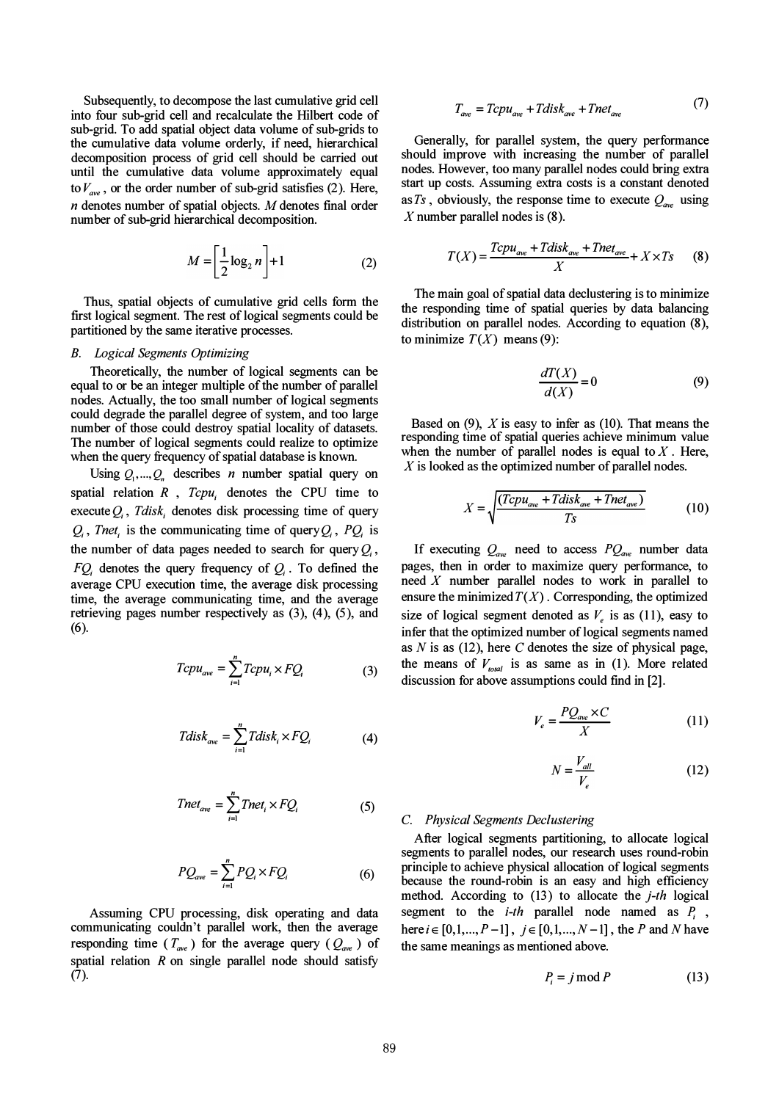Subsequently, to decompose the last cumulative grid cell into four sub-grid cell and recalculate the Hilbert code of sub-grid. To add spatial object data volume of sub-grids to the cumulative data volume orderly, if need, hierarchical decomposition process of grid cell should be carried out until the cumulative data volume approximately equal to  $V_{ave}$ , or the order number of sub-grid satisfies (2). Here, n denotes number of spatial objects. M denotes final order number of sub-grid hierarchical decomposition.

$$
M = \left[\frac{1}{2}\log_2 n\right] + 1\tag{2}
$$

Thus, spatial objects of cumulative grid cells form the first logical segment. The rest of logical segments could be partitioned by the same iterative processes.

## B. Logical Segments Optimizing

Theoretically, the number of logical segments can be equal to or be an integer multiple of the number of parallel nodes. Actually, the too small number of logical segments could degrade the parallel degree of system, and too large number of those could destroy spatial locality of datasets. The number of logical segments could realize to optimize when the query frequency of spatial database is known.

Using  $Q_1, ..., Q_n$  describes *n* number spatial query on spatial relation  $R$ ,  $Tcpu_i$  denotes the CPU time to execute  $Q_i$ , Tdisk, denotes disk processing time of query  $Q_i$ , Tnet, is the communicating time of query  $Q_i$ , P $Q_i$  is the number of data pages needed to search for query  $Q_i$ ,  $FQ_i$  denotes the query frequency of  $Q_i$ . To defined the average CPU execution time, the average disk processing time, the average communicating time, and the average retrieving pages number respectively as (3), (4), (5), and (6).

$$
Tcpu_{ave} = \sum_{i=1}^{n} Tcpu_i \times FQ_i
$$
 (3)

$$
Tdisk_{ave} = \sum_{i=1}^{n} Tdisk_i \times FQ_i \tag{4}
$$

$$
Tnet_{ave} = \sum_{i=1}^{n} Tnet_i \times FQ_i
$$
 (5)

$$
PQ_{ave} = \sum_{i=1}^{n} PQ_i \times FQ_i \tag{6}
$$

Assuming CPU processing, disk operating and data communicating couldn't parallel work, then the average responding time  $(T_{ave})$  for the average query  $(Q_{ave})$  of spatial relation  $R$  on single parallel node should satisfy (7).

$$
T_{ave} = Tcpu_{ave} + Tdisk_{ave} + Tnet_{ave}
$$
 (7)

Generally, for parallel system, the query performance should improve with increasing the number of parallel nodes. However, too many parallel nodes could bring extra start up costs. Assuming extra costs is a constant denoted as Ts, obviously, the response time to execute  $Q_{\text{ave}}$  using X number parallel nodes is  $(8)$ .

$$
T(X) = \frac{Tcpu_{ave} + Tdisk_{ave} + Tnet_{ave}}{X} + X \times Ts
$$
 (8)

The main goal of spatial data declustering is to minimize the responding time of spatial queries by data balancing distribution on parallel nodes. According to equation (8), to minimize  $T(X)$  means (9):

$$
\frac{dT(X)}{d(X)} = 0\tag{9}
$$

Based on  $(9)$ , X is easy to infer as  $(10)$ . That means the responding time of spatial queries achieve minimum value when the number of parallel nodes is equal to  $X$ . Here,  $X$  is looked as the optimized number of parallel nodes.

$$
X = \sqrt{\frac{(Tcpu_{ave} + Tdisk_{ave} + Tnet_{ave})}{Ts}}
$$
(10)

If executing  $Q_{ave}$  need to access  $PQ_{ave}$  number data pages, then in order to maximize query performance, to need  $X$  number parallel nodes to work in parallel to ensure the minimized  $T(X)$ . Corresponding, the optimized size of logical segment denoted as  $V_e$  is as (11), easy to infer that the optimized number of logical segments named as  $N$  is as (12), here  $C$  denotes the size of physical page, the means of  $V_{total}$  is as same as in (1). More related discussion for above assumptions could find in [2].

$$
V_e = \frac{PQ_{ave} \times C}{X} \tag{11}
$$

$$
N = \frac{V_{all}}{V_e} \tag{12}
$$

### C. Physical Segments Declustering

After logical segments partitioning, to allocate logical segments to parallel nodes, our research uses round-robin principle to achieve physical allocation of logical segments because the round-robin is an easy and high efficiency method. According to  $(13)$  to allocate the *j*-th logical segment to the  $i-th$  parallel node named as  $P_i$ , here  $i \in [0, 1, ..., P-1]$ ,  $j \in [0, 1, ..., N-1]$ , the P and N have the same meanings as mentioned above.

$$
P_i = j \mod P \tag{13}
$$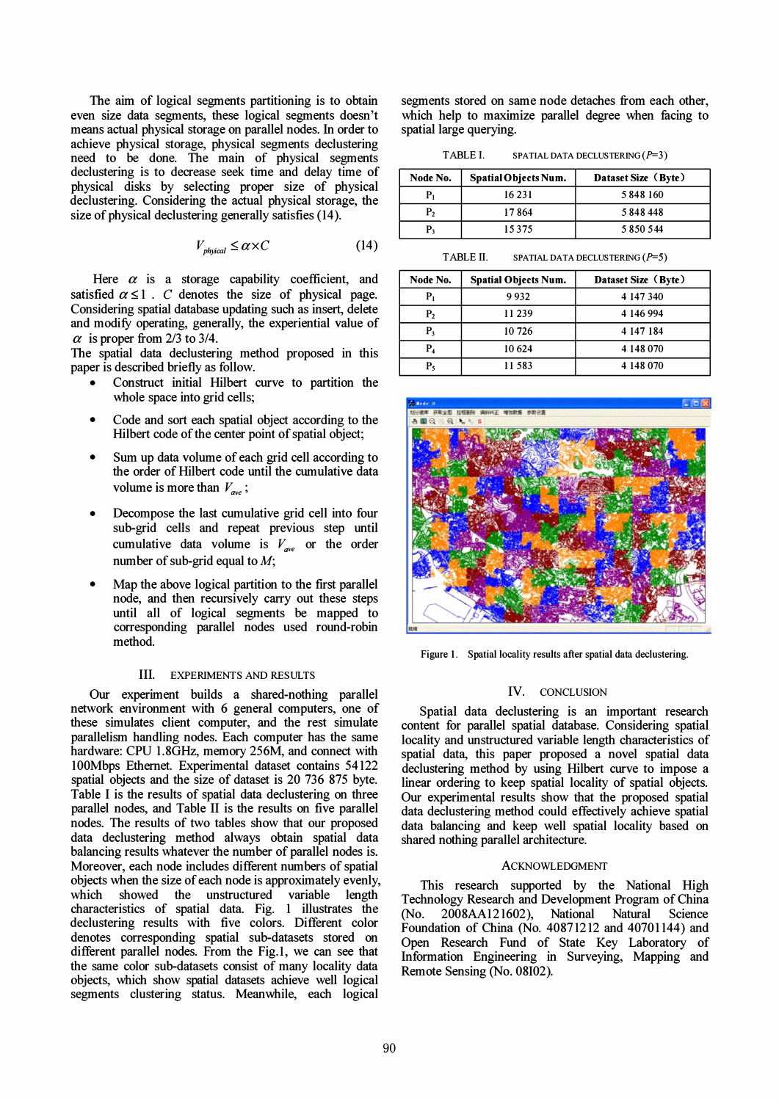The aim of logical segments partitioning is to obtain even size data segments, these logical segments doesn't means actual physical storage on parallel nodes. In order to achieve physical storage, physical segments declustering need to be done. The main of physical segments declustering is to decrease seek time and delay time of physical disks by selecting proper size of physical declustering. Considering the actual physical storage, the size of physical declustering generally satisfies (14).

$$
V_{\text{physical}} \le \alpha \times C \tag{14}
$$

Here  $\alpha$  is a storage capability coefficient, and satisfied  $\alpha \leq 1$ . C denotes the size of physical page. Considering spatial database updating such as insert, delete and modify operating, generally, the experiential value of  $\alpha$  is proper from 2/3 to 3/4.

The spatial data declustering method proposed in this paper is described briefly as follow.

- Construct initial Hilbert curve to partition the whole space into grid cells;
- Code and sort each spatial object according to the Hilbert code of the center point of spatial object;
- Sum up data volume of each grid cell according to the order of Hilbert code until the cumulative data volume is more than  $V_{\text{ave}}$ ;
- Decompose the last cumulative grid cell into four sub-grid cells and repeat previous step until cumulative data volume is  $V_{ave}$  or the order number of sub-grid equal to  $M$ ;
- Map the above logical partition to the first parallel node, and then recursively carry out these steps until all of logical segments be mapped to corresponding parallel nodes used round-robin method.

## III. EXPERIMENTS AND RESULTS

Our experiment builds a shared-nothing parallel network environment with 6 general computers, one of these simulates client computer, and the rest simulate parallelism handling nodes. Each computer has the same hardware: CPU 1.8GHz, memory 256M, and connect with 100Mbps Ethernet. Experimental dataset contains 54122 spatial objects and the size of dataset is 20 736 875 byte. Table I is the results of spatial data declustering on three parallel nodes, and Table II is the results on five parallel nodes. The results of two tables show that our proposed data declustering method always obtain spatial data balancing results whatever the number of parallel nodes is. Moreover, each node includes different numbers of spatial objects when the size of each node is approximately evenly, which showed the unstructured variable length characteristics of spatial data. Fig. 1 illustrates the declustering results with five colors. Different color denotes corresponding spatial sub-datasets stored on different parallel nodes. From the Fig.l, we can see that the same color sub-datasets consist of many locality data objects, which show spatial datasets achieve well logical segments clustering status. Meanwhile, each logical

segments stored on same node detaches from each other, which help to maximize parallel degree when facing to spatial large querying.

TABLE I. SPATIAL DATA DECLUSTERING  $(P=3)$ 

| Node No. | Spatial Objects Num. | Dataset Size (Byte) |
|----------|----------------------|---------------------|
|          | 16 23 1              | 5848160             |
| P,       | 17864                | 5848448             |
| Р,       | 15375                | 5850544             |

TABLE II. SPATIAL DATA DECLUSTERING  $(P=5)$ 

| Node No. | <b>Spatial Objects Num.</b> | Dataset Size (Byte) |
|----------|-----------------------------|---------------------|
| P,       | 9932                        | 4 147 340           |
| P,       | 11239                       | 4 146 994           |
| P٩       | 10 726                      | 4 147 184           |
| P4       | 10 624                      | 4 148 070           |
| P,       | 11583                       | 4 148 070           |



Figure 1. Spatial locality results after spatial data declustering.

## IV. CONCLUSION

Spatial data declustering is an important research content for parallel spatial database. Considering spatial locality and unstructured variable length characteristics of spatial data, this paper proposed a novel spatial data declustering method by using Hilbert curve to impose a linear ordering to keep spatial locality of spatial objects. Our experimental results show that the proposed spatial data declustering method could effectively achieve spatial data balancing and keep well spatial locality based on shared nothing parallel architecture.

## ACKNOWLEDGMENT

This research supported by the National High Technology Research and Development Program of China (No. 2008AAI21602), National Natural Science Foundation of China (No. 40871212 and 40701144) and Open Research Fund of State Key Laboratory of Information Engineering in Surveying, Mapping and Remote Sensing (No. 08102).